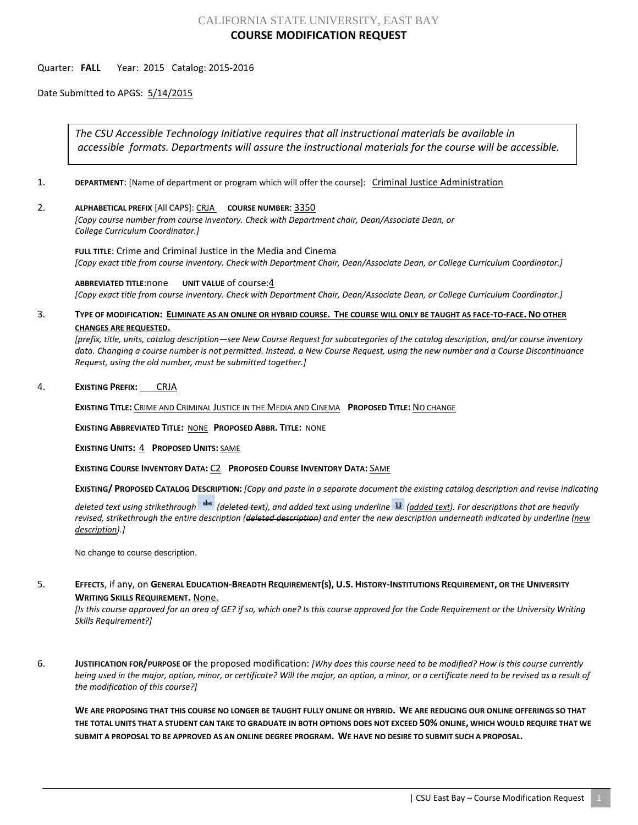## CALIFORNIA STATE UNIVERSITY, EAST BAY **COURSE MODIFICATION REQUEST**

## Quarter: **FALL** Year: 2015 Catalog: 2015-2016

Date Submitted to APGS: 5/14/2015

*The CSU Accessible Technology Initiative requires that all instructional materials be available in accessible formats. Departments will assure the instructional materials for the course will be accessible.*

- 1. **DEPARTMENT**: [Name of department or program which will offer the course]: Criminal Justice Administration
- 2. **ALPHABETICAL PREFIX** [All CAPS]: CRJA **COURSE NUMBER**: 3350

*[Copy course number from course inventory. Check with Department chair, Dean/Associate Dean, or College Curriculum Coordinator.]* 

**FULL TITLE**: Crime and Criminal Justice in the Media and Cinema *[Copy exact title from course inventory. Check with Department Chair, Dean/Associate Dean, or College Curriculum Coordinator.]*

**ABBREVIATED TITLE**:none **UNIT VALUE** of course:4 *[Copy exact title from course inventory. Check with Department Chair, Dean/Associate Dean, or College Curriculum Coordinator.]*

## 3. **TYPE OF MODIFICATION: ELIMINATE AS AN ONLINE OR HYBRID COURSE. THE COURSE WILL ONLY BE TAUGHT AS FACE-TO-FACE. NO OTHER CHANGES ARE REQUESTED.**

*[prefix, title, units, catalog description—see New Course Request for subcategories of the catalog description, and/or course inventory data. Changing a course number is not permitted. Instead, a New Course Request, using the new number and a Course Discontinuance Request, using the old number, must be submitted together.]*

4. **EXISTING PREFIX:** CRJA

**EXISTING TITLE:** CRIME AND CRIMINAL JUSTICE IN THE MEDIA AND CINEMA **PROPOSED TITLE:** NO CHANGE

**EXISTING ABBREVIATED TITLE:** NONE **PROPOSED ABBR. TITLE:** NONE

**EXISTING UNITS:** 4 **PROPOSED UNITS:** SAME

**EXISTING COURSE INVENTORY DATA:** C2 **PROPOSED COURSE INVENTORY DATA:** SAME

**EXISTING/ PROPOSED CATALOG DESCRIPTION:** *[Copy and paste in a separate document the existing catalog description and revise indicating* 

*deleted text using strikethrough (deleted text), and added text using underline (added text). For descriptions that are heavily revised, strikethrough the entire description (deleted description) and enter the new description underneath indicated by underline (new description).]*

No change to course description.

5. **EFFECTS**, if any, on **GENERAL EDUCATION-BREADTH REQUIREMENT(S), U.S. HISTORY-INSTITUTIONS REQUIREMENT, OR THE UNIVERSITY WRITING SKILLS REQUIREMENT.** None.

*[Is this course approved for an area of GE? if so, which one? Is this course approved for the Code Requirement or the University Writing Skills Requirement?]*

6. **JUSTIFICATION FOR/PURPOSE OF** the proposed modification: *[Why does this course need to be modified? How is this course currently being used in the major, option, minor, or certificate? Will the major, an option, a minor, or a certificate need to be revised as a result of the modification of this course?]*

**WE ARE PROPOSING THAT THIS COURSE NO LONGER BE TAUGHT FULLY ONLINE OR HYBRID. WE ARE REDUCING OUR ONLINE OFFERINGS SO THAT THE TOTAL UNITS THAT A STUDENT CAN TAKE TO GRADUATE IN BOTH OPTIONS DOES NOT EXCEED 50% ONLINE, WHICH WOULD REQUIRE THAT WE SUBMIT A PROPOSAL TO BE APPROVED AS AN ONLINE DEGREE PROGRAM. WE HAVE NO DESIRE TO SUBMIT SUCH A PROPOSAL.**